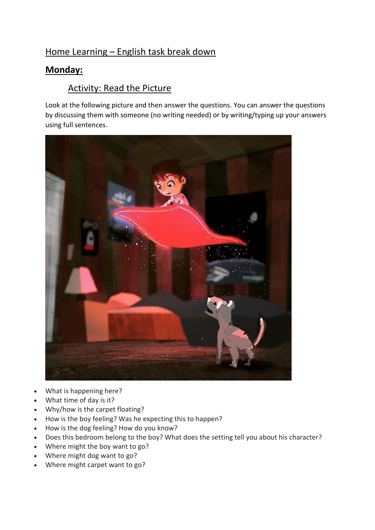## Home Learning – English task break down

## **Monday:**

## Activity: Read the Picture

Look at the following picture and then answer the questions. You can answer the questions by discussing them with someone (no writing needed) or by writing/typing up your answers using full sentences.



- What is happening here?
- What time of day is it?
- Why/how is the carpet floating?
- How is the boy feeling? Was he expecting this to happen?
- How is the dog feeling? How do you know?
- Does this bedroom belong to the boy? What does the setting tell you about his character?
- Where might the boy want to go?
- Where might dog want to go?
- Where might carpet want to go?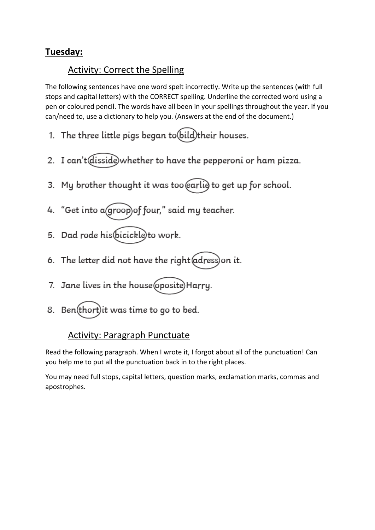## **Tuesday:**

## Activity: Correct the Spelling

The following sentences have one word spelt incorrectly. Write up the sentences (with full stops and capital letters) with the CORRECT spelling. Underline the corrected word using a pen or coloured pencil. The words have all been in your spellings throughout the year. If you can/need to, use a dictionary to help you. (Answers at the end of the document.)

- 1. The three little pigs began to (bild) their houses.
- 2. I can't disside whether to have the pepperoni or ham pizza.
- 3. My brother thought it was too earlie to get up for school.
- 4. "Get into a groop) of four," said my teacher.
- 5. Dad rode his bicickle to work.
- 6. The letter did not have the right adress) on it.
- 7. Jane lives in the house (oposite) Harry.
- 8. Ben(thort) it was time to go to bed.

## Activity: Paragraph Punctuate

Read the following paragraph. When I wrote it, I forgot about all of the punctuation! Can you help me to put all the punctuation back in to the right places.

You may need full stops, capital letters, question marks, exclamation marks, commas and apostrophes.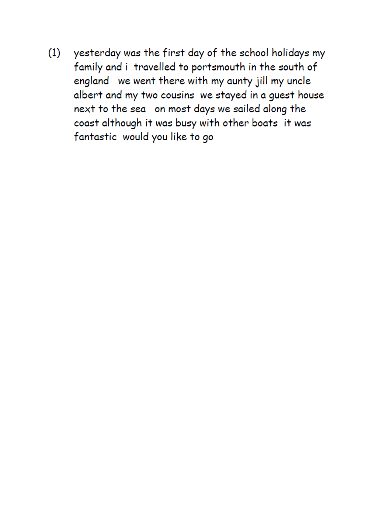yesterday was the first day of the school holidays my  $(1)$ family and i travelled to portsmouth in the south of england we went there with my aunty jill my uncle albert and my two cousins we stayed in a guest house next to the sea on most days we sailed along the coast although it was busy with other boats it was fantastic would you like to go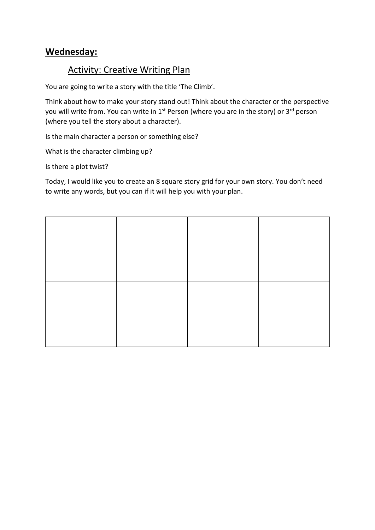## **Wednesday:**

## **Activity: Creative Writing Plan**

You are going to write a story with the title 'The Climb'.

Think about how to make your story stand out! Think about the character or the perspective you will write from. You can write in 1<sup>st</sup> Person (where you are in the story) or 3<sup>rd</sup> person (where you tell the story about a character).

Is the main character a person or something else?

What is the character climbing up?

Is there a plot twist?

Today, I would like you to create an 8 square story grid for your own story. You don't need to write any words, but you can if it will help you with your plan.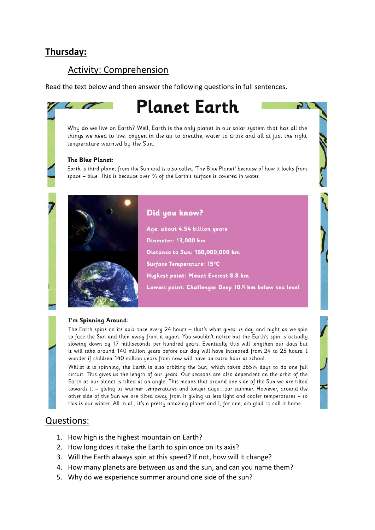## **Thursday:**

## Activity: Comprehension

Read the text below and then answer the following questions in full sentences.

# **Planet Earth**

Why do we live on Earth? Well, Earth is the only planet in our solar system that has all the things we need to live: oxygen in the air to breathe, water to drink and all at just the right temperature warmed by the Sun.

### The Blue Planet:

Earth is third planet from the Sun and is also called 'The Blue Planet' because of how it looks from space - blue. This is because over 3/3 of the Earth's surface is covered in water.



Did you know?

Age: about 4.54 billion years Diameter: 13,000 km Distance to Sun: 150,000,000 km Surface Temperature: 15°C Highest point: Mount Everest 8.8 km Lowest point: Challenger Deep 10.9 km below sea level

 $\sqrt{ }$ 

### I'm Spinning Around:

The Earth spins on its axis once every 24 hours - that's what gives us day and night as we spin to face the Sun and then away from it again. You wouldn't notice but the Earth's spin is actually slowing down by 17 milliseconds per hundred years. Eventually this will lengthen our days but it will take around 140 million years before our day will have increased from 24 to 25 hours. I wonder if children 140 million years from now will have an extra hour at school.

Whilst it is spinning, the Earth is also orbiting the Sun, which takes 3651/4 days to do one full circuit. This gives us the length of our years. Our seasons are also dependent on the orbit of the Earth as our planet is tilted at an angle. This means that around one side of the Sun we are tilted towards it - giving us warmer temperatures and longer days...our summer. However, around the other side of the Sun we are tilted away from it giving us less light and cooler temperatures - so this is our winter. All in all, it's a pretty amazing planet and I, for one, am glad to call it home.

## Questions:

- 1. How high is the highest mountain on Earth?
- 2. How long does it take the Earth to spin once on its axis?
- 3. Will the Earth always spin at this speed? If not, how will it change?
- 4. How many planets are between us and the sun, and can you name them?
- 5. Why do we experience summer around one side of the sun?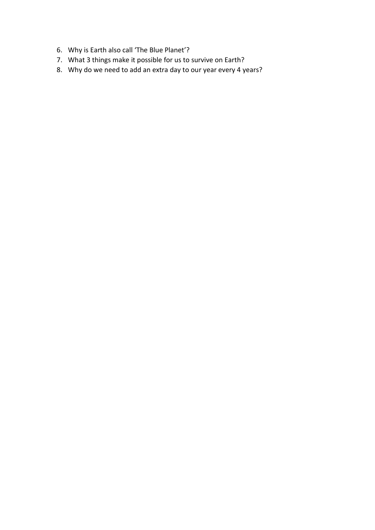- 6. Why is Earth also call 'The Blue Planet'?
- 7. What 3 things make it possible for us to survive on Earth?
- 8. Why do we need to add an extra day to our year every 4 years?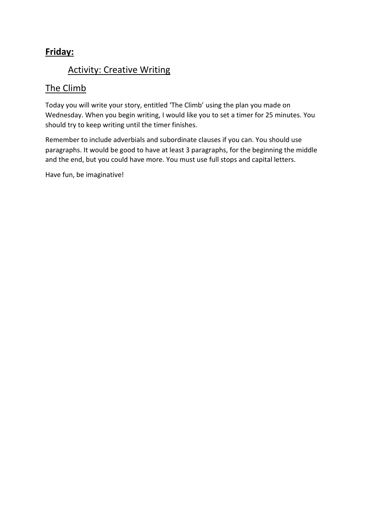## **Friday:**

## Activity: Creative Writing

## The Climb

Today you will write your story, entitled 'The Climb' using the plan you made on Wednesday. When you begin writing, I would like you to set a timer for 25 minutes. You should try to keep writing until the timer finishes.

Remember to include adverbials and subordinate clauses if you can. You should use paragraphs. It would be good to have at least 3 paragraphs, for the beginning the middle and the end, but you could have more. You must use full stops and capital letters.

Have fun, be imaginative!